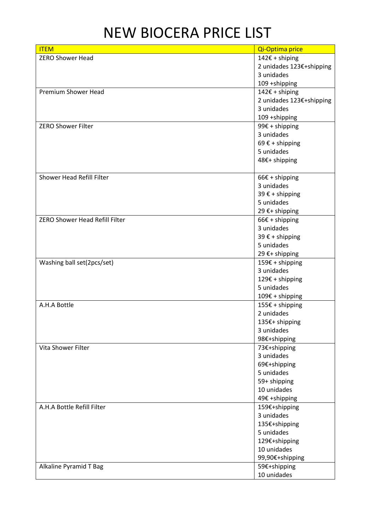## NEW BIOCERA PRICE LIST

| <b>ITEM</b>                           | Qi-Optima price          |
|---------------------------------------|--------------------------|
| <b>ZERO Shower Head</b>               | 142€ + shiping           |
|                                       | 2 unidades 123€+shipping |
|                                       | 3 unidades               |
|                                       | 109 +shipping            |
| <b>Premium Shower Head</b>            | 142€ + shiping           |
|                                       | 2 unidades 123€+shipping |
|                                       | 3 unidades               |
|                                       | 109 +shipping            |
| <b>ZERO Shower Filter</b>             | 99 $\epsilon$ + shipping |
|                                       | 3 unidades               |
|                                       | 69 $\xi$ + shipping      |
|                                       | 5 unidades               |
|                                       | 48€+ shipping            |
|                                       |                          |
| Shower Head Refill Filter             | $66 \epsilon$ + shipping |
|                                       | 3 unidades               |
|                                       | 39 € + shipping          |
|                                       | 5 unidades               |
|                                       | 29 €+ shipping           |
| <b>ZERO Shower Head Refill Filter</b> | $66 \epsilon$ + shipping |
|                                       | 3 unidades               |
|                                       | 39 € + shipping          |
|                                       | 5 unidades               |
|                                       | 29 €+ shipping           |
| Washing ball set(2pcs/set)            | 159€ + shipping          |
|                                       | 3 unidades               |
|                                       | 129€ + shipping          |
|                                       | 5 unidades               |
|                                       | 109€ + shipping          |
| A.H.A Bottle                          | $155€ + shipping$        |
|                                       | 2 unidades               |
|                                       | 135€+ shipping           |
|                                       | 3 unidades               |
|                                       | 98€+shipping             |
| Vita Shower Filter                    | 73€+shipping             |
|                                       | 3 unidades               |
|                                       | 69€+shipping             |
|                                       | 5 unidades               |
|                                       | 59+ shipping             |
|                                       | 10 unidades              |
|                                       | 49€ +shipping            |
| A.H.A Bottle Refill Filter            | 159€+shipping            |
|                                       | 3 unidades               |
|                                       | 135€+shipping            |
|                                       | 5 unidades               |
|                                       | 129€+shipping            |
|                                       | 10 unidades              |
|                                       | 99,90€+shipping          |
| Alkaline Pyramid T Bag                | 59€+shipping             |
|                                       | 10 unidades              |
|                                       |                          |